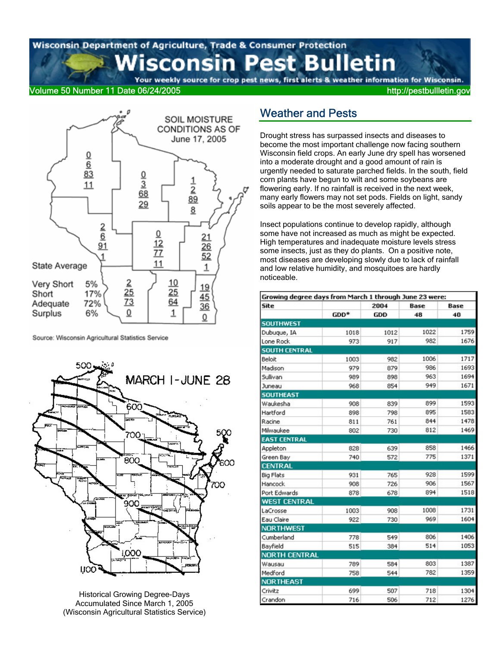Wisconsin Department of Agriculture, Trade & Consumer Protection **Pest Bulletin** sconsin Your weekly source for crop pest news, first alerts & weather information for Wisconsin.

Volume 50 Number 11 Date 06/24/2005 http://pestbullletin.gov



Source: Wisconsin Agricultural Statistics Service



Historical Growing Degree-Days Accumulated Since March 1, 2005 (Wisconsin Agricultural Statistics Service)

# Weather and Pests

Drought stress has surpassed insects and diseases to become the most important challenge now facing southern Wisconsin field crops. An early June dry spell has worsened into a moderate drought and a good amount of rain is urgently needed to saturate parched fields. In the south, field corn plants have begun to wilt and some soybeans are flowering early. If no rainfall is received in the next week, many early flowers may not set pods. Fields on light, sandy soils appear to be the most severely affected.

Insect populations continue to develop rapidly, although some have not increased as much as might be expected. High temperatures and inadequate moisture levels stress some insects, just as they do plants. On a positive note, most diseases are developing slowly due to lack of rainfall and low relative humidity, and mosquitoes are hardly noticeable.

| Growing degree days from March 1 through June 23 were: |      |            |      |            |  |  |  |
|--------------------------------------------------------|------|------------|------|------------|--|--|--|
| Site                                                   |      | 2004       | Base | Base<br>40 |  |  |  |
|                                                        | GDD* | <b>GDD</b> | 48   |            |  |  |  |
| <b>SOUTHWEST</b>                                       |      |            |      |            |  |  |  |
| Dubuque, IA                                            | 1018 | 1012       | 1022 | 1759       |  |  |  |
| Lone Rock                                              | 973  | 917        | 982  | 1676       |  |  |  |
| <b>SOUTH CENTRAL</b>                                   |      |            |      |            |  |  |  |
| Beloit                                                 | 1003 | 982        | 1006 | 1717       |  |  |  |
| Madison                                                | 979  | 879        | 986  | 1693       |  |  |  |
| Sullivan                                               | 989  | 898        | 963  | 1694       |  |  |  |
| Juneau                                                 | 968  | 854        | 949  | 1671       |  |  |  |
| <b>SOUTHEAST</b>                                       |      |            |      |            |  |  |  |
| Waukesha                                               | 908  | 839        | 899  | 1593       |  |  |  |
| Hartford                                               | 898  | 798        | 895  | 1583       |  |  |  |
| Racine                                                 | 811  | 761        | 844  | 1478       |  |  |  |
| Milwaukee                                              | 802  | 730        | 812  | 1469       |  |  |  |
| <b>EAST CENTRAL</b>                                    |      |            |      |            |  |  |  |
| Appleton                                               | 828  | 639        | 858  | 1466       |  |  |  |
| Green Bay                                              | 740  | 572        | 775  | 1371       |  |  |  |
| <b>CENTRAL</b>                                         |      |            |      |            |  |  |  |
| <b>Big Flats</b>                                       | 931  | 765        | 928  | 1599       |  |  |  |
| Hancock                                                | 908  | 726        | 906  | 1567       |  |  |  |
| Port Edwards                                           | 878  | 678        | 894  | 1518       |  |  |  |
| <b>WEST CENTRAL</b>                                    |      |            |      |            |  |  |  |
| LaCrosse                                               | 1003 | 908        | 1008 | 1731       |  |  |  |
| Eau Claire                                             | 922  | 730        | 969  | 1604       |  |  |  |
| <b>NORTHWEST</b>                                       |      |            |      |            |  |  |  |
| Cumberland                                             | 778  | 549        | 806  | 1406       |  |  |  |
| Bayfield                                               | 515  | 384        | 514  | 1053       |  |  |  |
| <b>NORTH CENTRAL</b>                                   |      |            |      |            |  |  |  |
| Wausau                                                 | 789  | 584        | 803  | 1387       |  |  |  |
| Medford                                                | 758  | 544        | 782  | 1359       |  |  |  |
| NORTHEAST                                              |      |            |      |            |  |  |  |
| Crivitz                                                | 699  | 507        | 718  | 1304       |  |  |  |
| Crandon                                                | 716  | 506        | 712  | 1276       |  |  |  |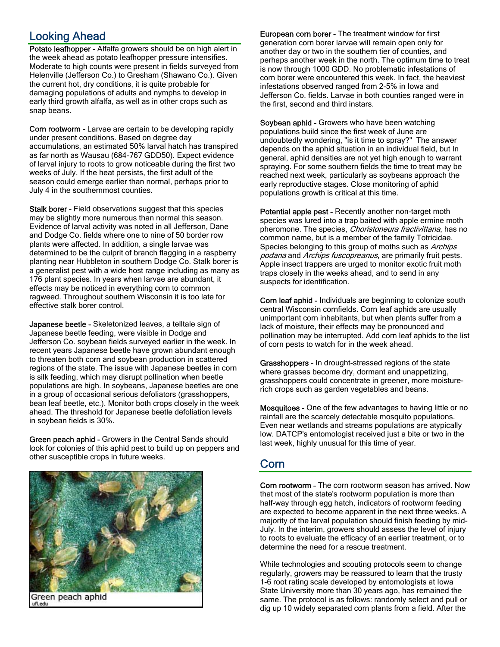# Looking Ahead

Potato leafhopper - Alfalfa growers should be on high alert in the week ahead as potato leafhopper pressure intensifies. Moderate to high counts were present in fields surveyed from Helenville (Jefferson Co.) to Gresham (Shawano Co.). Given the current hot, dry conditions, it is quite probable for damaging populations of adults and nymphs to develop in early third growth alfalfa, as well as in other crops such as snap beans.

Corn rootworm - Larvae are certain to be developing rapidly under present conditions. Based on degree day accumulations, an estimated 50% larval hatch has transpired as far north as Wausau (684-767 GDD50). Expect evidence of larval injury to roots to grow noticeable during the first two weeks of July. If the heat persists, the first adult of the season could emerge earlier than normal, perhaps prior to July 4 in the southernmost counties.

Stalk borer - Field observations suggest that this species may be slightly more numerous than normal this season. Evidence of larval activity was noted in all Jefferson, Dane and Dodge Co. fields where one to nine of 50 border row plants were affected. In addition, a single larvae was determined to be the culprit of branch flagging in a raspberry planting near Hubbleton in southern Dodge Co. Stalk borer is a generalist pest with a wide host range including as many as 176 plant species. In years when larvae are abundant, it effects may be noticed in everything corn to common ragweed. Throughout southern Wisconsin it is too late for effective stalk borer control.

Japanese beetle - Skeletonized leaves, a telltale sign of Japanese beetle feeding, were visible in Dodge and Jefferson Co. soybean fields surveyed earlier in the week. In recent years Japanese beetle have grown abundant enough to threaten both corn and soybean production in scattered regions of the state. The issue with Japanese beetles in corn is silk feeding, which may disrupt pollination when beetle populations are high. In soybeans, Japanese beetles are one in a group of occasional serious defoliators (grasshoppers, bean leaf beetle, etc.). Monitor both crops closely in the week ahead. The threshold for Japanese beetle defoliation levels in soybean fields is 30%.

Green peach aphid - Growers in the Central Sands should look for colonies of this aphid pest to build up on peppers and other susceptible crops in future weeks.



European corn borer - The treatment window for first generation corn borer larvae will remain open only for another day or two in the southern tier of counties, and perhaps another week in the north. The optimum time to treat is now through 1000 GDD. No problematic infestations of corn borer were encountered this week. In fact, the heaviest infestations observed ranged from 2-5% in Iowa and Jefferson Co. fields. Larvae in both counties ranged were in the first, second and third instars.

Soybean aphid - Growers who have been watching populations build since the first week of June are undoubtedly wondering, "is it time to spray?" The answer depends on the aphid situation in an individual field, but In general, aphid densities are not yet high enough to warrant spraying. For some southern fields the time to treat may be reached next week, particularly as soybeans approach the early reproductive stages. Close monitoring of aphid populations growth is critical at this time.

Potential apple pest - Recently another non-target moth species was lured into a trap baited with apple ermine moth pheromone. The species, *Choristoneura fractivittana*, has no common name, but is a member of the family Totricidae. Species belonging to this group of moths such as Archips podana and Archips fuscopreanus, are primarily fruit pests. Apple insect trappers are urged to monitor exotic fruit moth traps closely in the weeks ahead, and to send in any suspects for identification.

Corn leaf aphid - Individuals are beginning to colonize south central Wisconsin cornfields. Corn leaf aphids are usually unimportant corn inhabitants, but when plants suffer from a lack of moisture, their effects may be pronounced and pollination may be interrupted. Add corn leaf aphids to the list of corn pests to watch for in the week ahead.

Grasshoppers - In drought-stressed regions of the state where grasses become dry, dormant and unappetizing, grasshoppers could concentrate in greener, more moisturerich crops such as garden vegetables and beans.

Mosquitoes - One of the few advantages to having little or no rainfall are the scarcely detectable mosquito populations. Even near wetlands and streams populations are atypically low. DATCP's entomologist received just a bite or two in the last week, highly unusual for this time of year.

# Corn

Corn rootworm - The corn rootworm season has arrived. Now that most of the state's rootworm population is more than half-way through egg hatch, indicators of rootworm feeding are expected to become apparent in the next three weeks. A majority of the larval population should finish feeding by mid-July. In the interim, growers should assess the level of injury to roots to evaluate the efficacy of an earlier treatment, or to determine the need for a rescue treatment.

While technologies and scouting protocols seem to change regularly, growers may be reassured to learn that the trusty 1-6 root rating scale developed by entomologists at Iowa State University more than 30 years ago, has remained the same. The protocol is as follows: randomly select and pull or dig up 10 widely separated corn plants from a field. After the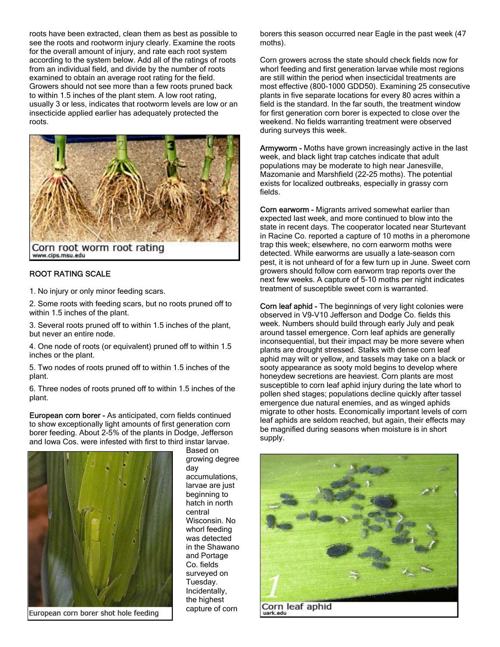roots have been extracted, clean them as best as possible to see the roots and rootworm injury clearly. Examine the roots for the overall amount of injury, and rate each root system according to the system below. Add all of the ratings of roots from an individual field, and divide by the number of roots examined to obtain an average root rating for the field. Growers should not see more than a few roots pruned back to within 1.5 inches of the plant stem. A low root rating, usually 3 or less, indicates that rootworm levels are low or an insecticide applied earlier has adequately protected the roots.



#### ROOT RATING SCALE

1. No injury or only minor feeding scars.

2. Some roots with feeding scars, but no roots pruned off to within 1.5 inches of the plant.

3. Several roots pruned off to within 1.5 inches of the plant, but never an entire node.

4. One node of roots (or equivalent) pruned off to within 1.5 inches or the plant.

5. Two nodes of roots pruned off to within 1.5 inches of the plant.

6. Three nodes of roots pruned off to within 1.5 inches of the plant.

European corn borer - As anticipated, corn fields continued to show exceptionally light amounts of first generation corn borer feeding. About 2-5% of the plants in Dodge, Jefferson and Iowa Cos. were infested with first to third instar larvae.



European corn borer shot hole feeding

Based on growing degree day accumulations, larvae are just beginning to hatch in north central Wisconsin. No whorl feeding was detected in the Shawano and Portage Co. fields surveyed on Tuesday. Incidentally, the highest capture of corn

borers this season occurred near Eagle in the past week (47 moths).

Corn growers across the state should check fields now for whorl feeding and first generation larvae while most regions are still within the period when insecticidal treatments are most effective (800-1000 GDD50). Examining 25 consecutive plants in five separate locations for every 80 acres within a field is the standard. In the far south, the treatment window for first generation corn borer is expected to close over the weekend. No fields warranting treatment were observed during surveys this week.

Armyworm - Moths have grown increasingly active in the last week, and black light trap catches indicate that adult populations may be moderate to high near Janesville, Mazomanie and Marshfield (22-25 moths). The potential exists for localized outbreaks, especially in grassy corn fields.

Corn earworm - Migrants arrived somewhat earlier than expected last week, and more continued to blow into the state in recent days. The cooperator located near Sturtevant in Racine Co. reported a capture of 10 moths in a pheromone trap this week; elsewhere, no corn earworm moths were detected. While earworms are usually a late-season corn pest, it is not unheard of for a few turn up in June. Sweet corn growers should follow corn earworm trap reports over the next few weeks. A capture of 5-10 moths per night indicates treatment of susceptible sweet corn is warranted.

Corn leaf aphid - The beginnings of very light colonies were observed in V9-V10 Jefferson and Dodge Co. fields this week. Numbers should build through early July and peak around tassel emergence. Corn leaf aphids are generally inconsequential, but their impact may be more severe when plants are drought stressed. Stalks with dense corn leaf aphid may wilt or yellow, and tassels may take on a black or sooty appearance as sooty mold begins to develop where honeydew secretions are heaviest. Corn plants are most susceptible to corn leaf aphid injury during the late whorl to pollen shed stages; populations decline quickly after tassel emergence due natural enemies, and as winged aphids migrate to other hosts. Economically important levels of corn leaf aphids are seldom reached, but again, their effects may be magnified during seasons when moisture is in short supply.



uark.edu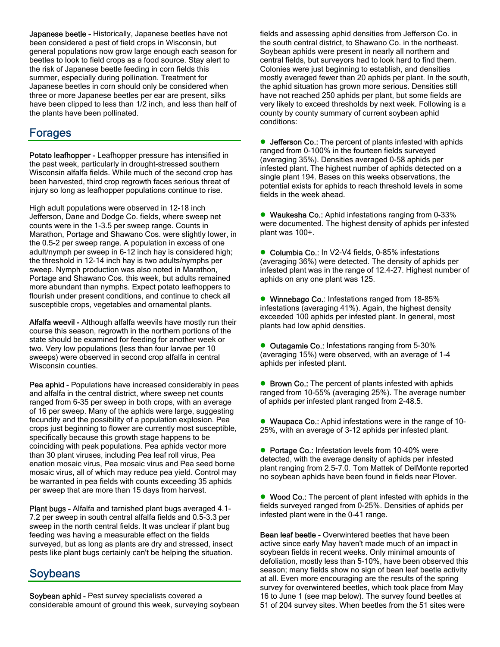**Japanese beetle - Historically, Japanese beetles have not** been considered a pest of field crops in Wisconsin, but general populations now grow large enough each season for beetles to look to field crops as a food source. Stay alert to the risk of Japanese beetle feeding in corn fields this summer, especially during pollination. Treatment for Japanese beetles in corn should only be considered when three or more Japanese beetles per ear are present, silks have been clipped to less than 1/2 inch, and less than half of the plants have been pollinated.

# Forages

Potato leafhopper - Leafhopper pressure has intensified in the past week, particularly in drought-stressed southern Wisconsin alfalfa fields. While much of the second crop has been harvested, third crop regrowth faces serious threat of injury so long as leafhopper populations continue to rise.

High adult populations were observed in 12-18 inch Jefferson, Dane and Dodge Co. fields, where sweep net counts were in the 1-3.5 per sweep range. Counts in Marathon, Portage and Shawano Cos. were slightly lower, in the 0.5-2 per sweep range. A population in excess of one adult/nymph per sweep in 6-12 inch hay is considered high; the threshold in 12-14 inch hay is two adults/nymphs per sweep. Nymph production was also noted in Marathon, Portage and Shawano Cos. this week, but adults remained more abundant than nymphs. Expect potato leafhoppers to flourish under present conditions, and continue to check all susceptible crops, vegetables and ornamental plants.

Alfalfa weevil - Although alfalfa weevils have mostly run their course this season, regrowth in the northern portions of the state should be examined for feeding for another week or two. Very low populations (less than four larvae per 10 sweeps) were observed in second crop alfalfa in central Wisconsin counties.

Pea aphid - Populations have increased considerably in peas and alfalfa in the central district, where sweep net counts ranged from 6-35 per sweep in both crops, with an average of 16 per sweep. Many of the aphids were large, suggesting fecundity and the possibility of a population explosion. Pea crops just beginning to flower are currently most susceptible, specifically because this growth stage happens to be coinciding with peak populations. Pea aphids vector more than 30 plant viruses, including Pea leaf roll virus, Pea enation mosaic virus, Pea mosaic virus and Pea seed borne mosaic virus, all of which may reduce pea yield. Control may be warranted in pea fields with counts exceeding 35 aphids per sweep that are more than 15 days from harvest.

Plant bugs - Alfalfa and tarnished plant bugs averaged 4.1- 7.2 per sweep in south central alfalfa fields and 0.5-3.3 per sweep in the north central fields. It was unclear if plant bug feeding was having a measurable effect on the fields surveyed, but as long as plants are dry and stressed, insect pests like plant bugs certainly can't be helping the situation.

### Soybeans

Soybean aphid - Pest survey specialists covered a considerable amount of ground this week, surveying soybean fields and assessing aphid densities from Jefferson Co. in the south central district, to Shawano Co. in the northeast. Soybean aphids were present in nearly all northern and central fields, but surveyors had to look hard to find them. Colonies were just beginning to establish, and densities mostly averaged fewer than 20 aphids per plant. In the south, the aphid situation has grown more serious. Densities still have not reached 250 aphids per plant, but some fields are very likely to exceed thresholds by next week. Following is a county by county summary of current soybean aphid conditions:

• Jefferson Co.: The percent of plants infested with aphids ranged from 0-100% in the fourteen fields surveyed (averaging 35%). Densities averaged 0-58 aphids per infested plant. The highest number of aphids detected on a single plant 194. Bases on this weeks observations, the potential exists for aphids to reach threshold levels in some fields in the week ahead.

• Waukesha Co.: Aphid infestations ranging from 0-33% were documented. The highest density of aphids per infested plant was 100+.

● Columbia Co.: In V2-V4 fields, 0-85% infestations (averaging 36%) were detected. The density of aphids per infested plant was in the range of 12.4-27. Highest number of aphids on any one plant was 125.

• Winnebago Co.: Infestations ranged from 18-85% infestations (averaging 41%). Again, the highest density exceeded 100 aphids per infested plant. In general, most plants had low aphid densities.

• Outagamie Co.: Infestations ranging from 5-30% (averaging 15%) were observed, with an average of 1-4 aphids per infested plant.

● Brown Co.: The percent of plants infested with aphids ranged from 10-55% (averaging 25%). The average number of aphids per infested plant ranged from 2-48.5.

• Waupaca Co.: Aphid infestations were in the range of 10-25%, with an average of 3-12 aphids per infested plant.

• Portage Co.: Infestation levels from 10-40% were detected, with the average density of aphids per infested plant ranging from 2.5-7.0. Tom Mattek of DelMonte reported no soybean aphids have been found in fields near Plover.

• Wood Co.: The percent of plant infested with aphids in the fields surveyed ranged from 0-25%. Densities of aphids per infested plant were in the 0-41 range.

Bean leaf beetle - Overwintered beetles that have been active since early May haven't made much of an impact in soybean fields in recent weeks. Only minimal amounts of defoliation, mostly less than 5-10%, have been observed this season; many fields show no sign of bean leaf beetle activity at all. Even more encouraging are the results of the spring survey for overwintered beetles, which took place from May 16 to June 1 (see map below). The survey found beetles at 51 of 204 survey sites. When beetles from the 51 sites were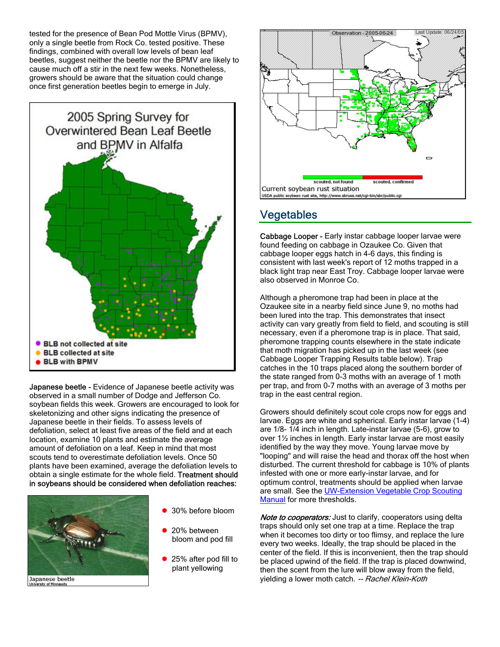tested for the presence of Bean Pod Mottle Virus (BPMV), only a single beetle from Rock Co. tested positive. These findings, combined with overall low levels of bean leaf beetles, suggest neither the beetle nor the BPMV are likely to cause much off a stir in the next few weeks. Nonetheless, growers should be aware that the situation could change once first generation beetles begin to emerge in July.



Japanese beetle - Evidence of Japanese beetle activity was observed in a small number of Dodge and Jefferson Co. soybean fields this week. Growers are encouraged to look for skeletonizing and other signs indicating the presence of Japanese beetle in their fields. To assess levels of defoliation, select at least five areas of the field and at each location, examine 10 plants and estimate the average amount of defoliation on a leaf. Keep in mind that most scouts tend to overestimate defoliation levels. Once 50 plants have been examined, average the defoliation levels to obtain a single estimate for the whole field. Treatment should in soybeans should be considered when defoliation reaches:



Japanese beetle

- 30% before bloom
- 20% between bloom and pod fill
- 25% after pod fill to plant yellowing



### **Vegetables**

Cabbage Looper - Early instar cabbage looper larvae were found feeding on cabbage in Ozaukee Co. Given that cabbage looper eggs hatch in 4-6 days, this finding is consistent with last week's report of 12 moths trapped in a black light trap near East Troy. Cabbage looper larvae were also observed in Monroe Co.

Although a pheromone trap had been in place at the Ozaukee site in a nearby field since June 9, no moths had been lured into the trap. This demonstrates that insect activity can vary greatly from field to field, and scouting is still necessary, even if a pheromone trap is in place. That said, pheromone trapping counts elsewhere in the state indicate that moth migration has picked up in the last week (see Cabbage Looper Trapping Results table below). Trap catches in the 10 traps placed along the southern border of the state ranged from 0-3 moths with an average of 1 moth per trap, and from 0-7 moths with an average of 3 moths per trap in the east central region.

Growers should definitely scout cole crops now for eggs and larvae. Eggs are white and spherical. Early instar larvae (1-4) are 1/8- 1/4 inch in length. Late-instar larvae (5-6), grow to over 1½ inches in length. Early instar larvae are most easily identified by the way they move. Young larvae move by "looping" and will raise the head and thorax off the host when disturbed. The current threshold for cabbage is 10% of plants infested with one or more early-instar larvae, and for optimum control, treatments should be applied when larvae are small. See the **UW-Extension Vegetable Crop Scouting** Manual for more thresholds.

Note to cooperators: Just to clarify, cooperators using delta traps should only set one trap at a time. Replace the trap when it becomes too dirty or too flimsy, and replace the lure every two weeks. Ideally, the trap should be placed in the center of the field. If this is inconvenient, then the trap should be placed upwind of the field. If the trap is placed downwind, then the scent from the lure will blow away from the field, yielding a lower moth catch. -- Rachel Klein-Koth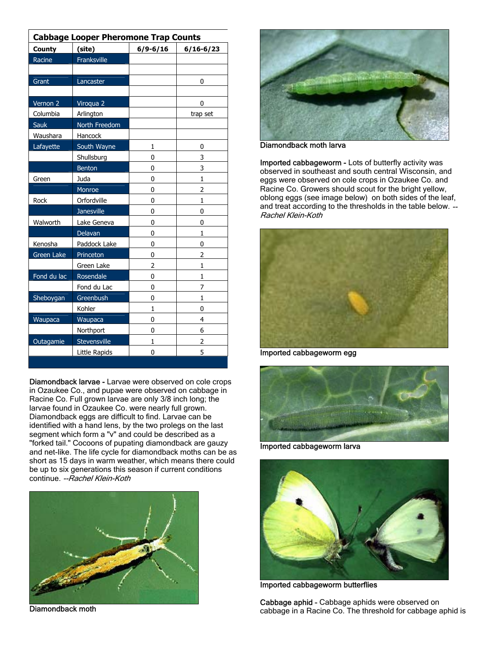| <b>Cabbage Looper Pheromone Trap Counts</b> |                   |              |                |  |  |  |
|---------------------------------------------|-------------------|--------------|----------------|--|--|--|
| <b>County</b>                               | (site)            | $6/9 - 6/16$ | $6/16 - 6/23$  |  |  |  |
| Racine                                      | Franksville       |              |                |  |  |  |
|                                             |                   |              |                |  |  |  |
| Grant                                       | Lancaster         |              | 0              |  |  |  |
|                                             |                   |              |                |  |  |  |
| Vernon 2                                    | Viroqua 2         |              | 0              |  |  |  |
| Columbia                                    | Arlington         |              | trap set       |  |  |  |
| Sauk                                        | North Freedom     |              |                |  |  |  |
| Waushara                                    | Hancock           |              |                |  |  |  |
| Lafayette                                   | South Wayne       | $\mathbf{1}$ | 0              |  |  |  |
|                                             | Shullsburg        | 0            | 3              |  |  |  |
|                                             | Benton            | 0            | 3              |  |  |  |
| Green                                       | Juda              | 0            | $\mathbf{1}$   |  |  |  |
|                                             | Monroe            | 0            | $\overline{2}$ |  |  |  |
| Rock                                        | Orfordville       | 0            | $\mathbf{1}$   |  |  |  |
|                                             | <b>Janesville</b> | 0            | $\overline{0}$ |  |  |  |
| Walworth                                    | Lake Geneva       | 0            | 0              |  |  |  |
|                                             | Delavan           | 0            | 1              |  |  |  |
| Kenosha                                     | Paddock Lake      | 0            | 0              |  |  |  |
| Green Lake                                  | Princeton         | 0            | 2              |  |  |  |
|                                             | Green Lake        | 2            | $\mathbf{1}$   |  |  |  |
| Fond du lac                                 | Rosendale         | 0            | $\mathbf{1}$   |  |  |  |
|                                             | Fond du Lac       | 0            | 7              |  |  |  |
| Sheboygan                                   | Greenbush         | 0            | $\mathbf{1}$   |  |  |  |
|                                             | Kohler            | $\mathbf{1}$ | $\mathbf 0$    |  |  |  |
| Waupaca                                     | Waupaca           | 0            | 4              |  |  |  |
|                                             | Northport         | 0            | 6              |  |  |  |
| Outagamie                                   | Stevensville      | 1            | 2              |  |  |  |
|                                             | Little Rapids     | 0            | 5              |  |  |  |

Diamondback larvae - Larvae were observed on cole crops in Ozaukee Co., and pupae were observed on cabbage in Racine Co. Full grown larvae are only 3/8 inch long; the larvae found in Ozaukee Co. were nearly full grown. Diamondback eggs are difficult to find. Larvae can be identified with a hand lens, by the two prolegs on the last segment which form a "v" and could be described as a "forked tail." Cocoons of pupating diamondback are gauzy and net-like. The life cycle for diamondback moths can be as short as 15 days in warm weather, which means there could be up to six generations this season if current conditions continue. --Rachel Klein-Koth



Diamondback moth



Diamondback moth larva

Imported cabbageworm - Lots of butterfly activity was observed in southeast and south central Wisconsin, and eggs were observed on cole crops in Ozaukee Co. and Racine Co. Growers should scout for the bright yellow, oblong eggs (see image below) on both sides of the leaf, and treat according to the thresholds in the table below. -- Rachel Klein-Koth



Imported cabbageworm egg



Imported cabbageworm larva



Imported cabbageworm butterflies

Cabbage aphid - Cabbage aphids were observed on cabbage in a Racine Co. The threshold for cabbage aphid is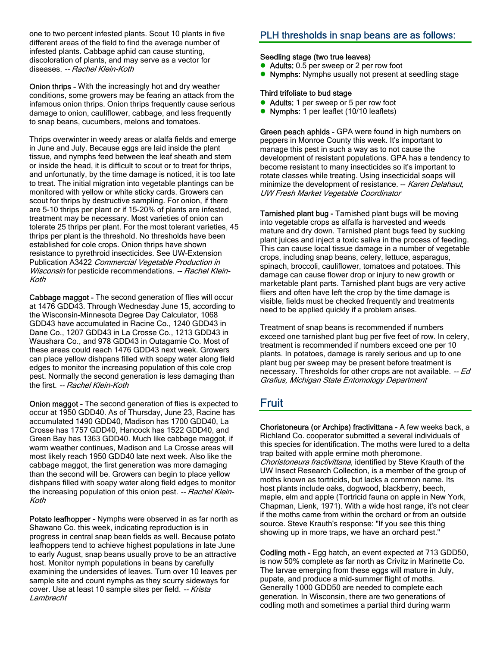one to two percent infested plants. Scout 10 plants in five different areas of the field to find the average number of infested plants. Cabbage aphid can cause stunting, discoloration of plants, and may serve as a vector for diseases. -- Rachel Klein-Koth

Onion thrips - With the increasingly hot and dry weather conditions, some growers may be fearing an attack from the infamous onion thrips. Onion thrips frequently cause serious damage to onion, cauliflower, cabbage, and less frequently to snap beans, cucumbers, melons and tomatoes.

Thrips overwinter in weedy areas or alalfa fields and emerge in June and July. Because eggs are laid inside the plant tissue, and nymphs feed between the leaf sheath and stem or inside the head, it is difficult to scout or to treat for thrips, and unfortunatly, by the time damage is noticed, it is too late to treat. The initial migration into vegetable plantings can be monitored with yellow or white sticky cards. Growers can scout for thrips by destructive sampling. For onion, if there are 5-10 thrips per plant or if 15-20% of plants are infested, treatment may be necessary. Most varieties of onion can tolerate 25 thrips per plant. For the most tolerant varieties, 45 thrips per plant is the threshold. No thresholds have been established for cole crops. Onion thrips have shown resistance to pyrethroid insecticides. See UW-Extension Publication A3422 Commercial Vegetable Production in Wisconsin for pesticide recommendations. -- Rachel Klein-Koth

Cabbage maggot - The second generation of flies will occur at 1476 GDD43. Through Wednesday June 15, according to the Wisconsin-Minnesota Degree Day Calculator, 1068 GDD43 have accumulated in Racine Co., 1240 GDD43 in Dane Co., 1207 GDD43 in La Crosse Co., 1213 GDD43 in Waushara Co., and 978 GDD43 in Outagamie Co. Most of these areas could reach 1476 GDD43 next week. Growers can place yellow dishpans filled with soapy water along field edges to monitor the increasing population of this cole crop pest. Normally the second generation is less damaging than the first. -- Rachel Klein-Koth

Onion maggot - The second generation of flies is expected to occur at 1950 GDD40. As of Thursday, June 23, Racine has accumulated 1490 GDD40, Madison has 1700 GDD40, La Crosse has 1757 GDD40, Hancock has 1522 GDD40, and Green Bay has 1363 GDD40. Much like cabbage maggot, if warm weather continues, Madison and La Crosse areas will most likely reach 1950 GDD40 late next week. Also like the cabbage maggot, the first generation was more damaging than the second will be. Growers can begin to place yellow dishpans filled with soapy water along field edges to monitor the increasing population of this onion pest. -- Rachel Klein-Koth

Potato leafhopper - Nymphs were observed in as far north as Shawano Co. this week, indicating reproduction is in progress in central snap bean fields as well. Because potato leafhoppers tend to achieve highest populations in late June to early August, snap beans usually prove to be an attractive host. Monitor nymph populations in beans by carefully examining the undersides of leaves. Turn over 10 leaves per sample site and count nymphs as they scurry sideways for cover. Use at least 10 sample sites per field. -- Krista Lambrecht

### PLH thresholds in snap beans are as follows:

#### Seedling stage (two true leaves)

- Adults: 0.5 per sweep or 2 per row foot
- Nymphs: Nymphs usually not present at seedling stage

#### Third trifoliate to bud stage

- Adults: 1 per sweep or 5 per row foot
- Nymphs: 1 per leaflet (10/10 leaflets)

Green peach aphids - GPA were found in high numbers on peppers in Monroe County this week. It's important to manage this pest in such a way as to not cause the development of resistant populations. GPA has a tendency to become resistant to many insecticides so it's important to rotate classes while treating. Using insecticidal soaps will minimize the development of resistance. -- Karen Delahaut, UW Fresh Market Vegetable Coordinator

Tarnished plant bug - Tarnished plant bugs will be moving into vegetable crops as alfalfa is harvested and weeds mature and dry down. Tarnished plant bugs feed by sucking plant juices and inject a toxic saliva in the process of feeding. This can cause local tissue damage in a number of vegetable crops, including snap beans, celery, lettuce, asparagus, spinach, broccoli, cauliflower, tomatoes and potatoes. This damage can cause flower drop or injury to new growth or marketable plant parts. Tarnished plant bugs are very active fliers and often have left the crop by the time damage is visible, fields must be checked frequently and treatments need to be applied quickly if a problem arises.

Treatment of snap beans is recommended if numbers exceed one tarnished plant bug per five feet of row. In celery, treatment is recommended if numbers exceed one per 10 plants. In potatoes, damage is rarely serious and up to one plant bug per sweep may be present before treatment is necessary. Thresholds for other crops are not available. -- Ed Grafius, Michigan State Entomology Department

# Fruit

Choristoneura (or Archips) fractivittana - A few weeks back, a Richland Co. cooperator submitted a several individuals of this species for identification. The moths were lured to a delta trap baited with apple ermine moth pheromone. Choristoneura fractivittana, identified by Steve Krauth of the UW Insect Research Collection, is a member of the group of moths known as tortricids, but lacks a common name. Its host plants include oaks, dogwood, blackberry, beech, maple, elm and apple (Tortricid fauna on apple in New York, Chapman, Lienk, 1971). With a wide host range, it's not clear if the moths came from within the orchard or from an outside source. Steve Krauth's response: "If you see this thing showing up in more traps, we have an orchard pest."

Codling moth - Egg hatch, an event expected at 713 GDD50, is now 50% complete as far north as Crivitz in Marinette Co. The larvae emerging from these eggs will mature in July, pupate, and produce a mid-summer flight of moths. Generally 1000 GDD50 are needed to complete each generation. In Wisconsin, there are two generations of codling moth and sometimes a partial third during warm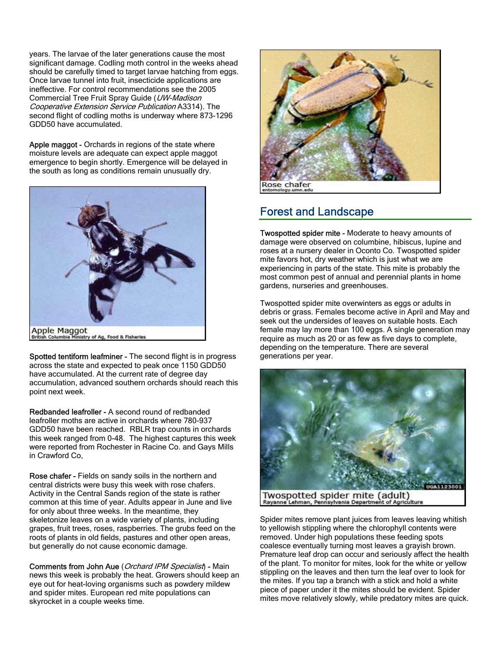years. The larvae of the later generations cause the most significant damage. Codling moth control in the weeks ahead should be carefully timed to target larvae hatching from eggs. Once larvae tunnel into fruit, insecticide applications are ineffective. For control recommendations see the 2005 Commercial Tree Fruit Spray Guide (UW-Madison Cooperative Extension Service Publication A3314). The second flight of codling moths is underway where 873-1296 GDD50 have accumulated.

Apple maggot - Orchards in regions of the state where moisture levels are adequate can expect apple maggot emergence to begin shortly. Emergence will be delayed in the south as long as conditions remain unusually dry.



Spotted tentiform leafminer - The second flight is in progress across the state and expected to peak once 1150 GDD50 have accumulated. At the current rate of degree day accumulation, advanced southern orchards should reach this point next week.

Redbanded leafroller - A second round of redbanded leafroller moths are active in orchards where 780-937 GDD50 have been reached. RBLR trap counts in orchards this week ranged from 0-48. The highest captures this week were reported from Rochester in Racine Co. and Gays Mills in Crawford Co,

Rose chafer - Fields on sandy soils in the northern and central districts were busy this week with rose chafers. Activity in the Central Sands region of the state is rather common at this time of year. Adults appear in June and live for only about three weeks. In the meantime, they skeletonize leaves on a wide variety of plants, including grapes, fruit trees, roses, raspberries. The grubs feed on the roots of plants in old fields, pastures and other open areas, but generally do not cause economic damage.

Comments from John Aue (Orchard IPM Specialist) - Main news this week is probably the heat. Growers should keep an eye out for heat-loving organisms such as powdery mildew and spider mites. European red mite populations can skyrocket in a couple weeks time.



# Forest and Landscape

Twospotted spider mite - Moderate to heavy amounts of damage were observed on columbine, hibiscus, lupine and roses at a nursery dealer in Oconto Co. Twospotted spider mite favors hot, dry weather which is just what we are experiencing in parts of the state. This mite is probably the most common pest of annual and perennial plants in home gardens, nurseries and greenhouses.

Twospotted spider mite overwinters as eggs or adults in debris or grass. Females become active in April and May and seek out the undersides of leaves on suitable hosts. Each female may lay more than 100 eggs. A single generation may require as much as 20 or as few as five days to complete, depending on the temperature. There are several generations per year.



Spider mites remove plant juices from leaves leaving whitish to yellowish stippling where the chlorophyll contents were removed. Under high populations these feeding spots coalesce eventually turning most leaves a grayish brown. Premature leaf drop can occur and seriously affect the health of the plant. To monitor for mites, look for the white or yellow stippling on the leaves and then turn the leaf over to look for the mites. If you tap a branch with a stick and hold a white piece of paper under it the mites should be evident. Spider mites move relatively slowly, while predatory mites are quick.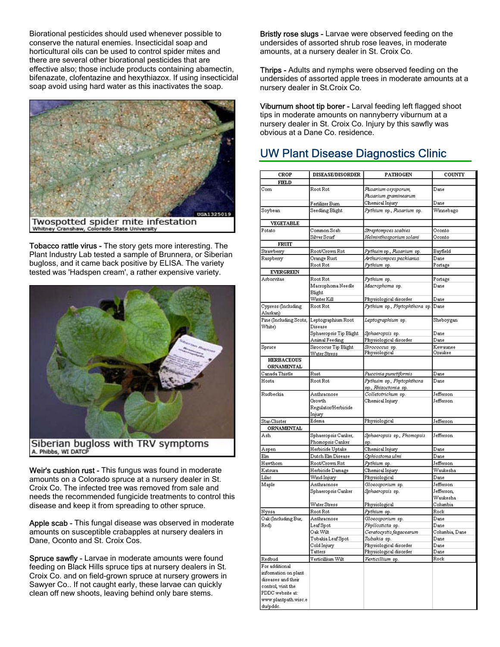Biorational pesticides should used whenever possible to conserve the natural enemies. Insecticidal soap and horticultural oils can be used to control spider mites and there are several other biorational pesticides that are effective also; those include products containing abamectin, bifenazate, clofentazine and hexythiazox. If using insecticidal soap avoid using hard water as this inactivates the soap.



Tobacco rattle virus - The story gets more interesting. The Plant Industry Lab tested a sample of Brunnera, or Siberian bugloss, and it came back positive by ELISA. The variety tested was 'Hadspen cream', a rather expensive variety.



Weir's cushion rust - This fungus was found in moderate amounts on a Colorado spruce at a nursery dealer in St. Croix Co. The infected tree was removed from sale and needs the recommended fungicide treatments to control this disease and keep it from spreading to other spruce.

Apple scab - This fungal disease was observed in moderate amounts on susceptible crabapples at nursery dealers in Dane, Oconto and St. Croix Cos.

Spruce sawfly - Larvae in moderate amounts were found feeding on Black Hills spruce tips at nursery dealers in St. Croix Co. and on field-grown spruce at nursery growers in Sawyer Co.. If not caught early, these larvae can quickly clean off new shoots, leaving behind only bare stems.

Bristly rose slugs - Larvae were observed feeding on the undersides of assorted shrub rose leaves, in moderate amounts, at a nursery dealer in St. Croix Co.

Thrips - Adults and nymphs were observed feeding on the undersides of assorted apple trees in moderate amounts at a nursery dealer in St.Croix Co.

Viburnum shoot tip borer - Larval feeding left flagged shoot tips in moderate amounts on nannyberry viburnum at a nursery dealer in St. Croix Co. Injury by this sawfly was obvious at a Dane Co. residence.

# UW Plant Disease Diagnostics Clinic

| <b>CROP</b>                               | <b>DISEASE/DISORDER</b>               | <b>PATHOGEN</b>                      | <b>COUNTY</b>          |
|-------------------------------------------|---------------------------------------|--------------------------------------|------------------------|
| <b>FIELD</b>                              |                                       |                                      |                        |
| Corn                                      | Root Rot                              | Fusarium oxysporum,                  | Dane                   |
|                                           |                                       | Flusarium graminearum                |                        |
|                                           | Fertilizer Burn                       | Chemical Injury                      | Dane                   |
| Soybean                                   | Seedling Blight                       | Pythium sp., Fusarium sp.            | Winnebago              |
| <b>VEGETABLE</b>                          |                                       |                                      |                        |
| Potato                                    | Common Scab                           | Streptomyces scabies                 | Oconto                 |
|                                           | Silver Scurf                          | Helminthosporium solani              | Oconto                 |
| <b>FRUIT</b>                              |                                       |                                      |                        |
| Strawberry                                | Root/Crown Rot                        | Pythuim sp., Flusarium sp.           | Bayfield               |
| Raspberry                                 | Orange Rust                           | Arthuriomyces peckianus              | Dane                   |
|                                           | Root Rot                              | Pythium sp.                          | Portage                |
| <b>EVERGREEN</b>                          |                                       |                                      |                        |
| Arhorvitae                                | Root Rot                              | Pythium sp.                          | Portage                |
|                                           | Macrophoma Needle                     | Macrophoma sp.                       | Dane                   |
|                                           | Blight                                |                                      |                        |
|                                           | Winter Kill                           | Physiological disorder               | Dane                   |
| Cypress (Including                        | Root Rot                              | Pythium sp., Phytophthora sp.        | Dane                   |
| Alaskan)                                  |                                       |                                      |                        |
| Pine (Including Scots, Leptographium Root |                                       | Leptographium sp.                    | Sheboygan              |
| White)                                    | Disease                               |                                      |                        |
|                                           | Sphaeropsis Tip Blight                | Sphaeropsis sp.                      | Dane                   |
|                                           | Animal Feeding                        | Physiological disorder               | Dane                   |
| Spruce                                    | Sirococus Tip Blight                  | Strococcus sp.                       | Kewaunee               |
|                                           | Water Stress                          | Physiological                        | Ozaukee                |
| <b>HERBACEOUS</b>                         |                                       |                                      |                        |
| <b>ORNAMENTAL</b>                         |                                       |                                      |                        |
| Canada Thistle                            | Rust                                  | Puccinia punctiformis                | Dane                   |
| Hosta                                     | Root Rot                              | Pythuim sp., Phytophthora            | Dane                   |
|                                           |                                       | sp., Rhizoctonia sp.                 |                        |
| Rudbeckia                                 | Anthracnose                           | Colletotrichum sp.                   | Jefferson              |
|                                           | Growth                                | Chemical Injury                      | Jefferson              |
|                                           | Regulator/Herbicide                   |                                      |                        |
|                                           | Injury<br>Edema                       |                                      |                        |
| Star-Cluster                              |                                       | Physiological                        | Jefferson              |
| <b>ORNAMENTAL</b>                         |                                       |                                      |                        |
| Ash                                       | Sphaeropsis Canker,                   | Sphaeropsis sp., Phomopsis           | Jefferson              |
|                                           | Phomopsis Canker                      | sp.                                  | Dane                   |
| Aspen                                     | Herbicide Uptake<br>Dutch Elm Disease | Chemical Injury                      | Dane                   |
| Elm                                       |                                       | Ophiostoma ulmi                      |                        |
| Hawthorn                                  | Root/Crown Rot                        | Pythium sp.                          | Jefferson              |
| Katsura                                   | Herbicide Damage                      | Chemical Injury                      | Waukesha               |
| Lilac                                     | Wind Injury                           | Physiological                        | Dane                   |
| Maple                                     | Anthracnose                           | Gloeosporium sp.                     | Jefferson              |
|                                           | Sphaeropsis Canker                    | Sphaeropsis sp.                      | Jefferson,<br>Waukesha |
|                                           |                                       | Physiological                        | Columbia               |
|                                           | Water Stress<br>Root Rot              |                                      | Rock                   |
| Nyssa                                     | Anthracnose                           | Pythium sp.                          | Dane                   |
| Oak (Including Bur,<br>Red)               | Leaf Spot                             | Gloeosporium sp.<br>Phyllosticta sp. | Dane                   |
|                                           | Oak Wilt                              | Ceratocystis fagacearum              | Columbia, Dane         |
|                                           | Tubakia Leaf Spot                     | Tubakia sp.                          | Dane                   |
|                                           | Cold Injury                           | Physiological disorder               | Dane                   |
|                                           | Tatters                               | Physiological disorder               | Dane                   |
| Redbud                                    | Verticillium Wilt                     | Verticillium sp.                     | Rock                   |
| For additional                            |                                       |                                      |                        |
| information on plant                      |                                       |                                      |                        |
| diseases and their                        |                                       |                                      |                        |
| control, visit the                        |                                       |                                      |                        |
| PDDC website at:                          |                                       |                                      |                        |
| www.plantpath.wisc.e                      |                                       |                                      |                        |
| du/pddc.                                  |                                       |                                      |                        |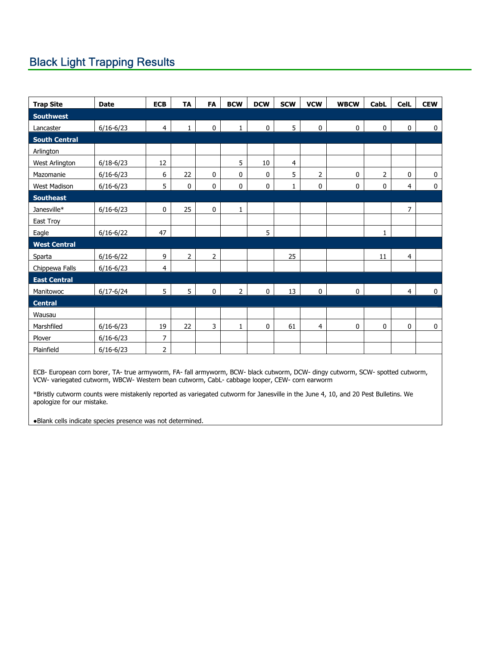# Black Light Trapping Results

| <b>Trap Site</b>     | <b>Date</b>   | <b>ECB</b>     | <b>TA</b>      | <b>FA</b>      | <b>BCW</b>     | <b>DCW</b>  | <b>SCW</b>   | <b>VCW</b>     | <b>WBCW</b> | <b>CabL</b>    | <b>CelL</b>    | <b>CEW</b>  |
|----------------------|---------------|----------------|----------------|----------------|----------------|-------------|--------------|----------------|-------------|----------------|----------------|-------------|
| <b>Southwest</b>     |               |                |                |                |                |             |              |                |             |                |                |             |
| Lancaster            | $6/16 - 6/23$ | $\overline{4}$ | $\mathbf{1}$   | $\mathbf 0$    | $\mathbf{1}$   | $\mathbf 0$ | 5            | 0              | $\mathbf 0$ | $\mathbf 0$    | $\mathbf 0$    | $\mathbf 0$ |
| <b>South Central</b> |               |                |                |                |                |             |              |                |             |                |                |             |
| Arlington            |               |                |                |                |                |             |              |                |             |                |                |             |
| West Arlington       | $6/18 - 6/23$ | 12             |                |                | 5              | 10          | 4            |                |             |                |                |             |
| Mazomanie            | $6/16 - 6/23$ | 6              | 22             | 0              | $\mathbf 0$    | 0           | 5            | $\overline{2}$ | $\mathbf 0$ | $\overline{2}$ | $\mathbf 0$    | $\mathbf 0$ |
| <b>West Madison</b>  | $6/16 - 6/23$ | 5              | 0              | 0              | $\mathbf 0$    | 0           | $\mathbf{1}$ | 0              | $\mathbf 0$ | 0              | $\overline{4}$ | $\mathbf 0$ |
| <b>Southeast</b>     |               |                |                |                |                |             |              |                |             |                |                |             |
| Janesville*          | $6/16 - 6/23$ | $\pmb{0}$      | 25             | 0              | 1              |             |              |                |             |                | 7              |             |
| East Troy            |               |                |                |                |                |             |              |                |             |                |                |             |
| Eagle                | $6/16 - 6/22$ | 47             |                |                |                | 5           |              |                |             | $\mathbf{1}$   |                |             |
| <b>West Central</b>  |               |                |                |                |                |             |              |                |             |                |                |             |
| Sparta               | $6/16 - 6/22$ | 9              | $\overline{2}$ | $\overline{2}$ |                |             | 25           |                |             | 11             | $\overline{4}$ |             |
| Chippewa Falls       | $6/16 - 6/23$ | 4              |                |                |                |             |              |                |             |                |                |             |
| <b>East Central</b>  |               |                |                |                |                |             |              |                |             |                |                |             |
| Manitowoc            | $6/17 - 6/24$ | 5              | 5              | $\pmb{0}$      | $\overline{2}$ | $\mathbf 0$ | 13           | $\mathbf 0$    | $\pmb{0}$   |                | $\overline{4}$ | $\bf{0}$    |
| <b>Central</b>       |               |                |                |                |                |             |              |                |             |                |                |             |
| Wausau               |               |                |                |                |                |             |              |                |             |                |                |             |
| Marshfiled           | $6/16 - 6/23$ | 19             | 22             | 3              | 1              | 0           | 61           | 4              | 0           | $\pmb{0}$      | 0              | $\mathbf 0$ |
| Plover               | $6/16 - 6/23$ | $\overline{7}$ |                |                |                |             |              |                |             |                |                |             |
| Plainfield           | $6/16 - 6/23$ | $\overline{2}$ |                |                |                |             |              |                |             |                |                |             |

ECB- European corn borer, TA- true armyworm, FA- fall armyworm, BCW- black cutworm, DCW- dingy cutworm, SCW- spotted cutworm, VCW- variegated cutworm, WBCW- Western bean cutworm, CabL- cabbage looper, CEW- corn earworm

\*Bristly cutworm counts were mistakenly reported as variegated cutworm for Janesville in the June 4, 10, and 20 Pest Bulletins. We apologize for our mistake.

●Blank cells indicate species presence was not determined.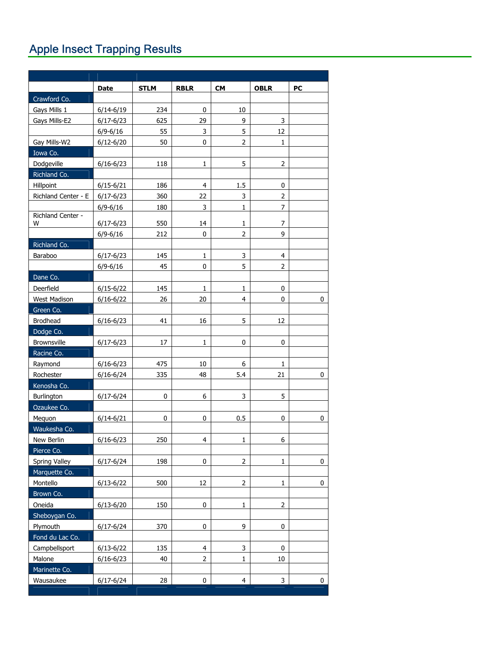# Apple Insect Trapping Results

|                        | <b>Date</b>   | <b>STLM</b> | <b>RBLR</b>    | <b>CM</b>      | <b>OBLR</b>    | <b>PC</b> |
|------------------------|---------------|-------------|----------------|----------------|----------------|-----------|
| Crawford Co.           |               |             |                |                |                |           |
| Gays Mills 1           | $6/14 - 6/19$ | 234         | 0              | 10             |                |           |
| Gays Mills-E2          | $6/17 - 6/23$ | 625         | 29             | 9              | 3              |           |
|                        | $6/9 - 6/16$  | 55          | 3              | 5              | 12             |           |
| Gay Mills-W2           | $6/12 - 6/20$ | 50          | 0              | $\overline{2}$ | 1              |           |
| Iowa Co.               |               |             |                |                |                |           |
| Dodgeville             | $6/16 - 6/23$ | 118         | 1              | 5              | $\overline{2}$ |           |
| Richland Co.           |               |             |                |                |                |           |
| Hillpoint              | $6/15 - 6/21$ | 186         | 4              | 1.5            | 0              |           |
| Richland Center - E    | $6/17 - 6/23$ | 360         | 22             | 3              | $\overline{2}$ |           |
|                        | $6/9 - 6/16$  | 180         | 3              | 1              | 7              |           |
| Richland Center -<br>W | $6/17 - 6/23$ | 550         | 14             | 1              | 7              |           |
|                        | $6/9 - 6/16$  | 212         | 0              | 2              | 9              |           |
| Richland Co.           |               |             |                |                |                |           |
| <b>Baraboo</b>         | $6/17 - 6/23$ | 145         | 1              | 3              | 4              |           |
|                        | $6/9 - 6/16$  | 45          | 0              | 5              | $\overline{2}$ |           |
| Dane Co.               |               |             |                |                |                |           |
| Deerfield              | $6/15 - 6/22$ | 145         | 1              | 1              | 0              |           |
| <b>West Madison</b>    | $6/16 - 6/22$ | 26          | 20             | 4              | 0              | 0         |
| Green Co.              |               |             |                |                |                |           |
| <b>Brodhead</b>        | $6/16 - 6/23$ | 41          | 16             | 5              | 12             |           |
| Dodge Co.              |               |             |                |                |                |           |
| <b>Brownsville</b>     | $6/17 - 6/23$ | 17          | 1              | 0              | 0              |           |
| Racine Co.             |               |             |                |                |                |           |
| Raymond                | $6/16 - 6/23$ | 475         | 10             | 6              | 1              |           |
| Rochester              | $6/16 - 6/24$ | 335         | 48             | 5.4            | 21             | 0         |
| Kenosha Co.            |               |             |                |                |                |           |
| Burlington             | $6/17 - 6/24$ | 0           | 6              | 3              | 5              |           |
| Ozaukee Co.            |               |             |                |                |                |           |
| Mequon                 | $6/14 - 6/21$ | 0           | 0              | 0.5            | 0              | 0         |
| Waukesha Co.           |               |             |                |                |                |           |
| New Berlin             | $6/16 - 6/23$ | 250         | 4              | 1              | 6              |           |
| Pierce Co.             |               |             |                |                |                |           |
| Spring Valley          | $6/17 - 6/24$ | 198         | 0              | 2              | $\mathbf{1}$   | $\pmb{0}$ |
| Marquette Co.          |               |             |                |                |                |           |
| Montello               | $6/13 - 6/22$ | 500         | 12             | $\overline{2}$ | 1              | 0         |
| Brown Co.              |               |             |                |                |                |           |
| Oneida                 | $6/13 - 6/20$ | 150         | 0              | 1              | $\overline{2}$ |           |
| Sheboygan Co.          |               |             |                |                |                |           |
| Plymouth               | $6/17 - 6/24$ | 370         | 0              | 9              | 0              |           |
| Fond du Lac Co.        |               |             |                |                |                |           |
| Campbellsport          | $6/13 - 6/22$ | 135         | $\overline{4}$ | 3              | 0              |           |
| Malone                 | $6/16 - 6/23$ | 40          | $\overline{2}$ | $\mathbf{1}$   | 10             |           |
| Marinette Co.          |               |             |                |                |                |           |
| Wausaukee              | $6/17 - 6/24$ | 28          | 0              | $\overline{4}$ | 3              | 0         |